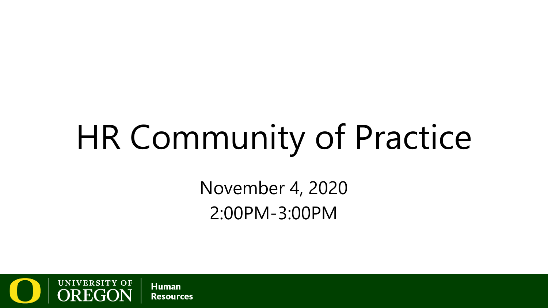# HR Community of Practice

November 4, 2020 2:00PM-3:00PM

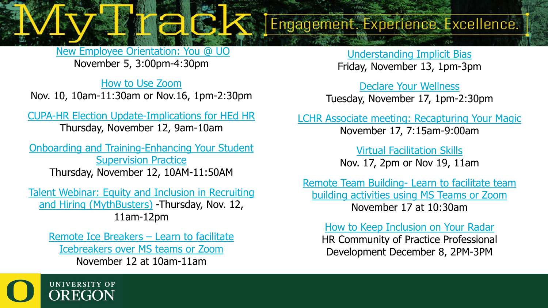[New Employee Orientation: You @ UO](https://uomytrack.pageuppeople.com/learning/2937) November 5, 3:00pm-4:30pm

[How to Use Zoom](https://uomytrack.pageuppeople.com/learning/3127) Nov. 10, 10am-11:30am or Nov.16, 1pm-2:30pm

[CUPA-HR Election Update-Implications for HEd HR](https://www.cupahr.org/events/webinars/quarterly-washington-update-11-12-2020/) Thursday, November 12, 9am-10am

[Onboarding and Training-Enhancing Your Student](https://uomytrack.pageuppeople.com/learning/2495) Supervision Practice Thursday, November 12, 10AM-11:50AM

[Talent Webinar: Equity and Inclusion in Recruiting](https://uomytrack.pageuppeople.com/learning/3099)  and Hiring (MythBusters) -Thursday, Nov. 12, 11am-12pm

Remote Ice Breakers – Learn to facilitate [Icebreakers over MS teams or Zoom](https://uomytrack.pageuppeople.com/learning/3129) November 12 at 10am-11am

[Understanding Implicit Bias](https://uomytrack.pageuppeople.com/learning/1933) Friday, November 13, 1pm-3pm

Engagement. Experience. Excellence.

[Declare Your Wellness](https://uomytrack.pageuppeople.com/learning/2844) Tuesday, November 17, 1pm-2:30pm

[LCHR Associate meeting: Recapturing Your Magic](https://lchra.org/events/20201117) November 17, 7:15am-9:00am

> [Virtual Facilitation Skills](https://uomytrack.pageuppeople.com/learning/3128) Nov. 17, 2pm or Nov 19, 11am

Remote Team Building- Learn to facilitate team [building activities using MS Teams or Zoom](https://uomytrack.pageuppeople.com/learning/3130) November 17 at 10:30am

[How to Keep Inclusion on Your Radar](https://uomytrack.pageuppeople.com/learning/3128) HR Community of Practice Professional Development December 8, 2PM-3PM

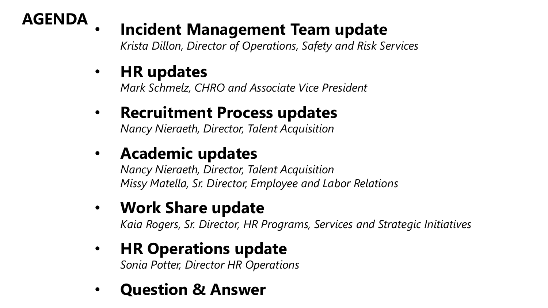

#### • **Incident Management Team update**

*Krista Dillon, Director of Operations, Safety and Risk Services*

#### • **HR updates**

*Mark Schmelz, CHRO and Associate Vice President*

#### • **Recruitment Process updates** *Nancy Nieraeth, Director, Talent Acquisition*

• **Academic updates**

*Nancy Nieraeth, Director, Talent Acquisition Missy Matella, Sr. Director, Employee and Labor Relations*

#### • **Work Share update**

*Kaia Rogers, Sr. Director, HR Programs, Services and Strategic Initiatives*

#### • **HR Operations update**

*Sonia Potter, Director HR Operations*

• **Question & Answer**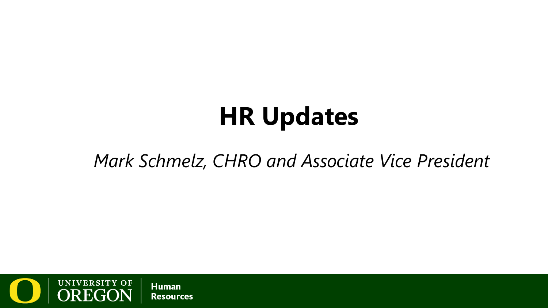# **HR Updates**

#### *Mark Schmelz, CHRO and Associate Vice President*

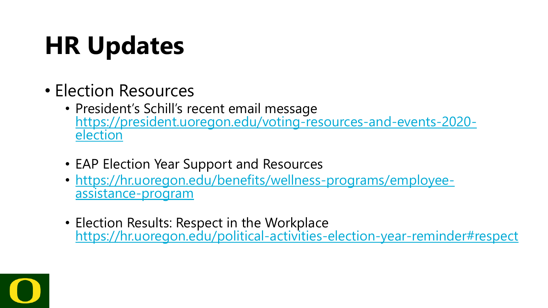# **HR Updates**

- Election Resources
	- President's Schill's recent email message [https://president.uoregon.edu/voting-resources-and-events-2020-](https://president.uoregon.edu/voting-resources-and-events-2020-election)<br>election
	- EAP Election Year Support and Resources
	- [https://hr.uoregon.edu/benefits/wellness-programs/employee-](https://hr.uoregon.edu/benefits/wellness-programs/employee-assistance-program)<br>assistance-program
	- Election Results: Respect in the Workplace <https://hr.uoregon.edu/political-activities-election-year-reminder#respect>

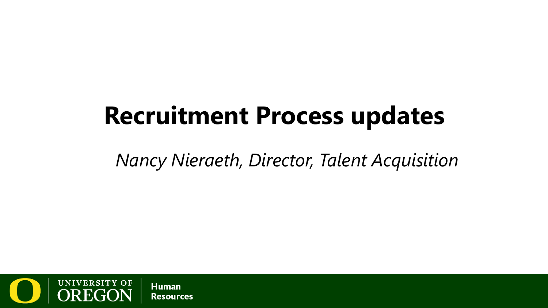### **Recruitment Process updates**

*Nancy Nieraeth, Director, Talent Acquisition*

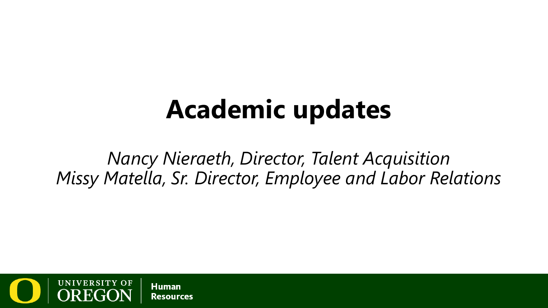### **Academic updates**

*Nancy Nieraeth, Director, Talent Acquisition Missy Matella, Sr. Director, Employee and Labor Relations*

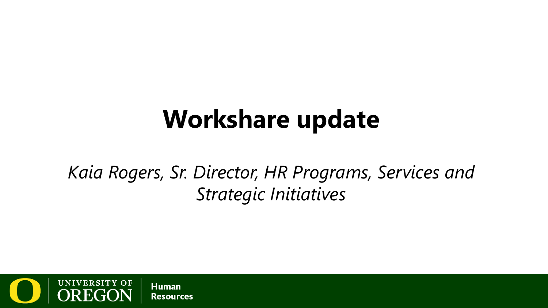### **Workshare update**

*Kaia Rogers, Sr. Director, HR Programs, Services and Strategic Initiatives*

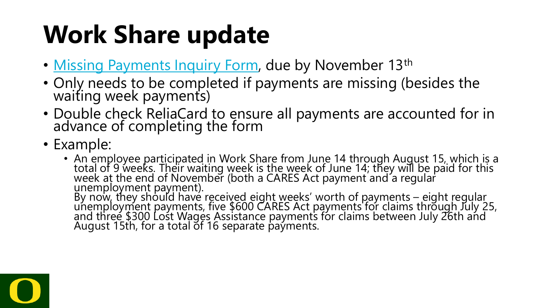### **Work Share update**

- [Missing Payments Inquiry Form](https://app.smartsheet.com/b/form/8a6e922a61604bd7816411dd4f00e41f), due by November 13th
- Only needs to be completed if payments are missing (besides the waiting week payments)
- Double check ReliaCard to ensure all payments are accounted for in advance of completing the form
- Example:
	- An employee participated in Work Share from June 14 through August 15, which is a total of 9 weeks. Their waiting week is the week of June 14; they will be paid for this week at the end of November (both a CARES Act payment and a regular unemployment payment). By now, they should have received eight weeks' worth of payments – eight regular<br>unemployment payments, five \$600 CARES Act payments for claims through July 25, and three \$300 Lost Wages Assistance payments for claims between July 26th and August 15th, for a total of 16 separate paýments.

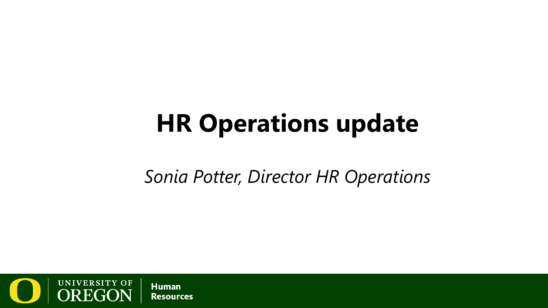### **HR Operations update**

*Sonia Potter, Director HR Operations*

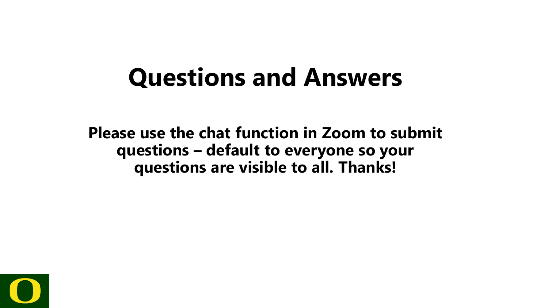### **Questions and Answers**

**Please use the chat function in Zoom to submit questions – default to everyone so your questions are visible to all. Thanks!**